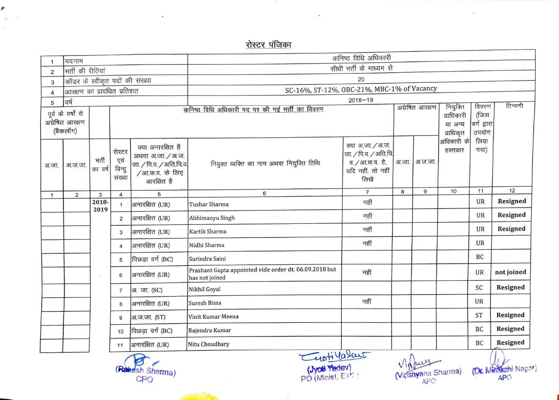## <u>रोस्टर पंजिका</u>

 $\sim 20$ 

 $\blacksquare$ 

|                                                  |                                |            |                |                                           | कनिष्ठ विधि अधिकारी                                                      |                                          |       |                 |                         |                      |                 |
|--------------------------------------------------|--------------------------------|------------|----------------|-------------------------------------------|--------------------------------------------------------------------------|------------------------------------------|-------|-----------------|-------------------------|----------------------|-----------------|
|                                                  | पदनाम<br>भर्ती की रीतियां      |            |                |                                           | सीधी भर्ती के माध्यम से                                                  |                                          |       |                 |                         |                      |                 |
| $\overline{2}$                                   | कॉडर के स्वीकृत पदों की संख्या |            |                |                                           | 20                                                                       |                                          |       |                 |                         |                      |                 |
| 3                                                | आरक्षण का प्रावधित प्रतिशत     |            |                |                                           | SC-16%, ST-12%, OBC-21%, MBC-1% of Vacancy                               |                                          |       |                 |                         |                      |                 |
| $\overline{4}$                                   |                                |            |                |                                           | $2018 - 19$                                                              |                                          |       |                 |                         |                      |                 |
| 5                                                | वर्ष                           |            |                |                                           | कनिष्ठ विधि अधिकारी पद पर की गई भर्ती का विवरण                           |                                          |       | अग्रेषित आरक्षण | नियुक्ति                | विवरण                | टिप्पणी         |
|                                                  | पूर्व के वर्षों से             |            |                |                                           |                                                                          |                                          |       |                 | प्राधिकारी              | (जिस                 |                 |
|                                                  | अग्रेषित आरक्षण<br>(बैकलॉग)    |            |                |                                           |                                                                          |                                          |       |                 | या अन्य                 | वर्ग द्वारा<br>उपयोग |                 |
|                                                  |                                |            |                |                                           |                                                                          |                                          |       |                 | प्राधिकृत<br>अधिकारी के | लिया                 |                 |
|                                                  |                                |            | रोस्टर         | क्या अनारक्षित है                         |                                                                          | क्या अ.जा. / अ.ज.                        |       |                 | हस्ताक्षर               | गया)                 |                 |
|                                                  |                                | भर्ती      | एवं            | अथवा अ.जा. / अ.ज.                         |                                                                          | जा. / पि.व. / अति.पि.<br>व. / आ.क.व. है, | अ.जा. | अ.ज.जा.         |                         |                      |                 |
| अ.जा.                                            | अ.ज.जा.                        | का वर्ष    | बिन्दु         | जा. / पि.व. / अति.पि.व.<br>/आ.क.व. के लिए | नियुक्त व्यक्ति का नाम अथवा नियुक्ति तिथि                                | यदि नहीं, तो नहीं                        |       |                 |                         |                      |                 |
|                                                  |                                |            | संख्या         | आरक्षित है                                |                                                                          | लिखे                                     |       |                 |                         |                      |                 |
|                                                  |                                |            |                |                                           | 6                                                                        | $\overline{7}$                           | 8     | 9               | 10                      | 11                   | 12              |
| $\mathbf{1}$                                     | $\overline{2}$                 | 3<br>2018- | 4              | 5                                         |                                                                          | नहीं                                     |       |                 |                         | UR                   | Resigned        |
|                                                  |                                | 2019       | $\mathbf{1}$   | अनारक्षित (UR)                            | Tushar Sharma                                                            |                                          |       |                 |                         |                      |                 |
|                                                  |                                |            | 2              | अनारक्षित (UR)                            | Abhimanyu Singh                                                          | नहीं                                     |       |                 |                         | UR                   | Resigned        |
|                                                  |                                |            | 3              | अनारक्षित (UR)                            | Kartik Sharma                                                            | नहीं                                     |       |                 |                         | UR                   | Resigned        |
|                                                  |                                |            | 4              | अनारक्षित (UR)                            | Nidhi Sharma                                                             | नहीं                                     |       |                 |                         | UR                   |                 |
|                                                  |                                |            | 5              | पिछड़ा वर्ग (BC)                          | Surindra Saini                                                           |                                          |       |                 |                         | BC                   |                 |
|                                                  |                                |            | 6              | अनारक्षित (UR)                            | Prashant Gupta appointed vide order dt. 06.09.2018 but<br>has not joined | नहीं                                     |       |                 |                         | UR                   | not joined      |
|                                                  |                                |            | $\overline{7}$ | अ. जा. (SC)                               | Nikhil Goyal                                                             |                                          |       |                 |                         | SC                   | Resigned        |
|                                                  |                                |            | 8              | आनारक्षित (UR)                            | Suresh Bissa                                                             | नहीं                                     |       |                 |                         | UR                   |                 |
|                                                  |                                |            | 9              | आ़.ज.जा. (ST)                             | Vinit Kumar Meena                                                        |                                          |       |                 |                         | <b>ST</b>            | <b>Resigned</b> |
|                                                  |                                |            | 10             | पिछड़ा वर्ग (BC)                          | Rajendra Kumar                                                           |                                          |       |                 |                         | BC                   | Resigned        |
|                                                  |                                |            | 11             | अनारक्षित (UR)                            | Nitu Choudhary                                                           |                                          |       |                 |                         | BC                   | Resigned        |
| Cuotilalau<br>$\Lambda$<br>$\blacktriangleright$ |                                |            |                |                                           |                                                                          |                                          |       | $\overline{M}$  |                         |                      |                 |

**CONTRACTOR** 

 $\mathbf{a}_1$ 

r

 $\mathcal{L}_{\mathcal{C}}$ 

 $\mathbf{r} = \mathbf{r}$ 

(Jyoti Yedev) **PO (Minist, E<sup>ett)</sup>** Rakesh Sharma)<br>CPO (Minist. E<sup>st.)</sup> (Vipshyana Sharma)<br>PO (Minist. E<sup>st.)</sup> (Vipshyana Sharma)

APO APO

(Dr. Minakshi Nagar)

 $\bar{\mathcal{A}}$